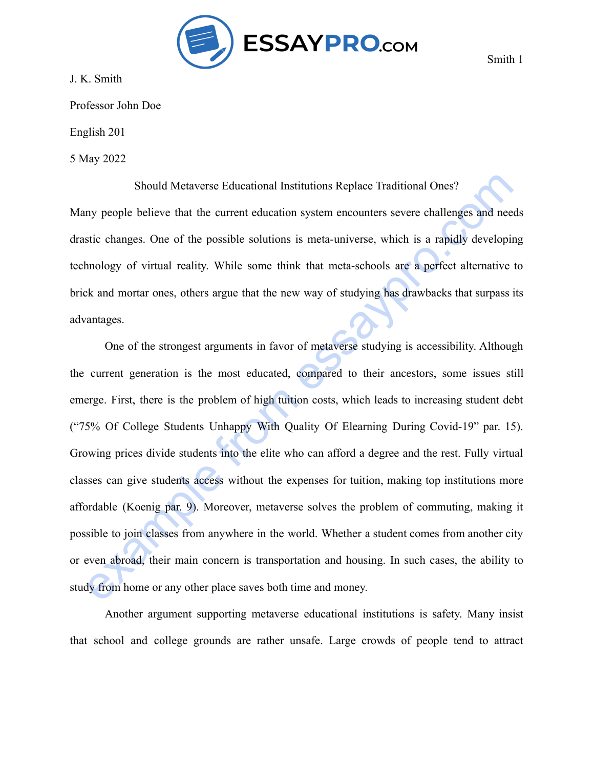

J. K. Smith

Professor John Doe

English 201

5 May 2022

Should Metaverse Educational Institutions Replace Traditional Ones? Many people believe that the current education system encounters severe challenges and needs drastic changes. One of the possible solutions is meta-universe, which is a rapidly developing technology of virtual reality. While some think that meta-schools are a perfect alternative to brick and mortar ones, others argue that the new way of studying has drawbacks that surpass its advantages.

Should Metaverse Educational Institutions Replace Traditional Ones?<br>
my people believe that the current education system encounters severe challenges and needs<br>
stic changes. One of the possible solutions is meta-universe, One of the strongest arguments in favor of metaverse studying is accessibility. Although the current generation is the most educated, compared to their ancestors, some issues still emerge. First, there is the problem of high tuition costs, which leads to increasing student debt ("75% Of College Students Unhappy With Quality Of Elearning During Covid-19" par. 15). Growing prices divide students into the elite who can afford a degree and the rest. Fully virtual classes can give students access without the expenses for tuition, making top institutions more affordable (Koenig par. 9). Moreover, metaverse solves the problem of commuting, making it possible to join classes from anywhere in the world. Whether a student comes from another city or even abroad, their main concern is transportation and housing. In such cases, the ability to study from home or any other place saves both time and money.

Another argument supporting metaverse educational institutions is safety. Many insist that school and college grounds are rather unsafe. Large crowds of people tend to attract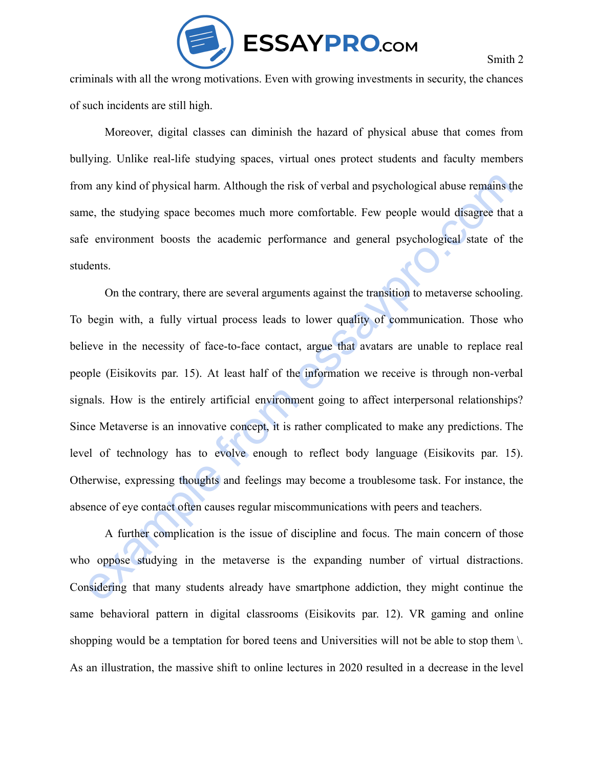

Smith 2

criminals with all the wrong motivations. Even with growing investments in security, the chances of such incidents are still high.

Moreover, digital classes can diminish the hazard of physical abuse that comes from bullying. Unlike real-life studying spaces, virtual ones protect students and faculty members from any kind of physical harm. Although the risk of verbal and psychological abuse remains the same, the studying space becomes much more comfortable. Few people would disagree that a safe environment boosts the academic performance and general psychological state of the students.

m any kind of physical harm. Although the risk of verbal and psychological abuse remains the<br>ne, the studying space becomes much more comfortable. Few people would disagree that a<br>conviromment boosts the academic performan On the contrary, there are several arguments against the transition to metaverse schooling. To begin with, a fully virtual process leads to lower quality of communication. Those who believe in the necessity of face-to-face contact, argue that avatars are unable to replace real people (Eisikovits par. 15). At least half of the information we receive is through non-verbal signals. How is the entirely artificial environment going to affect interpersonal relationships? Since Metaverse is an innovative concept, it is rather complicated to make any predictions. The level of technology has to evolve enough to reflect body language (Eisikovits par. 15). Otherwise, expressing thoughts and feelings may become a troublesome task. For instance, the absence of eye contact often causes regular miscommunications with peers and teachers.

A further complication is the issue of discipline and focus. The main concern of those who oppose studying in the metaverse is the expanding number of virtual distractions. Considering that many students already have smartphone addiction, they might continue the same behavioral pattern in digital classrooms (Eisikovits par. 12). VR gaming and online shopping would be a temptation for bored teens and Universities will not be able to stop them \. As an illustration, the massive shift to online lectures in 2020 resulted in a decrease in the level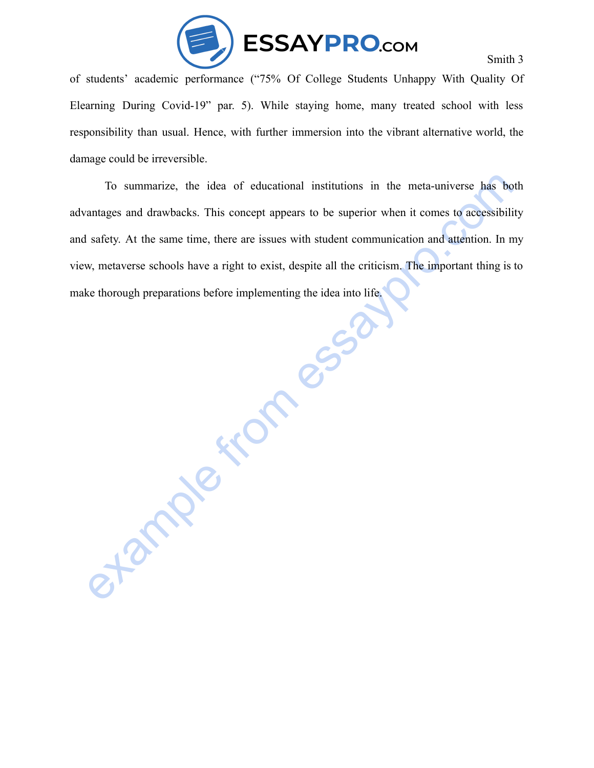

of students' academic performance ("75% Of College Students Unhappy With Quality Of Elearning During Covid-19" par. 5). While staying home, many treated school with less responsibility than usual. Hence, with further immersion into the vibrant alternative world, the damage could be irreversible.

To summarize, the idea of educational institutions in the meta-universe has both can<br>tanges and drawbacks. This concept appears to be superior when it comes to accessibility<br>starcty. At the same time, there are issues with To summarize, the idea of educational institutions in the meta-universe has both advantages and drawbacks. This concept appears to be superior when it comes to accessibility and safety. At the same time, there are issues with student communication and attention. In my view, metaverse schools have a right to exist, despite all the criticism. The important thing is to make thorough preparations before implementing the idea into life.